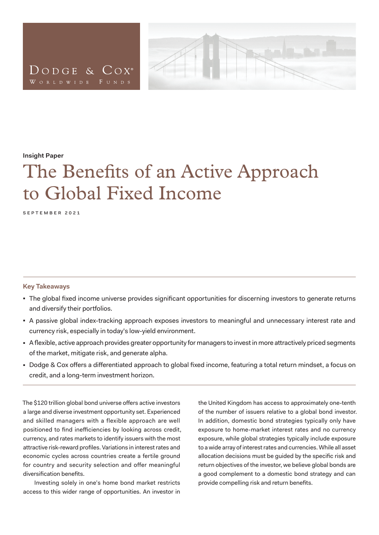



#### **Insight Paper**

# The Benefits of an Active Approach to Global Fixed Income

september 2021

#### **Key Takeaways**

- The global fixed income universe provides significant opportunities for discerning investors to generate returns and diversify their portfolios.
- A passive global index-tracking approach exposes investors to meaningful and unnecessary interest rate and currency risk, especially in today's low-yield environment.
- A flexible, active approach provides greater opportunity for managers to invest in more attractively priced segments of the market, mitigate risk, and generate alpha.
- Dodge & Cox offers a differentiated approach to global fixed income, featuring a total return mindset, a focus on credit, and a long-term investment horizon.

The \$120 trillion global bond universe offers active investors a large and diverse investment opportunity set. Experienced and skilled managers with a flexible approach are well positioned to find inefficiencies by looking across credit, currency, and rates markets to identify issuers with the most attractive risk-reward profiles. Variations in interest rates and economic cycles across countries create a fertile ground for country and security selection and offer meaningful diversification benefits.

Investing solely in one's home bond market restricts access to this wider range of opportunities. An investor in the United Kingdom has access to approximately one-tenth of the number of issuers relative to a global bond investor. In addition, domestic bond strategies typically only have exposure to home-market interest rates and no currency exposure, while global strategies typically include exposure to a wide array of interest rates and currencies. While all asset allocation decisions must be guided by the specific risk and return objectives of the investor, we believe global bonds are a good complement to a domestic bond strategy and can provide compelling risk and return benefits.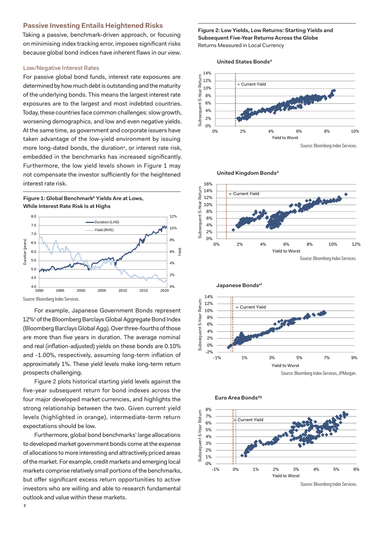# **Passive Investing Entails Heightened Risks**

Taking a passive, benchmark-driven approach, or focusing on minimising index tracking error, imposes significant risks because global bond indices have inherent flaws in our view.

## Low/Negative Interest Rates

For passive global bond funds, interest rate exposures are determined by how much debt is outstanding and the maturity of the underlying bonds. This means the largest interest rate exposures are to the largest and most indebted countries. Today, these countries face common challenges: slow growth, worsening demographics, and low and even negative yields. At the same time, as government and corporate issuers have taken advantage of the low-yield environment by issuing more long-dated bonds, the duration<sup>a</sup>, or interest rate risk, embedded in the benchmarks has increased significantly. Furthermore, the low vield levels shown in Figure 1 may not compensate the investor sufficiently for the heightened interest rate risk.

Figure 1: Global Benchmark<sup>b</sup> Yields Are at Lows. **While Interest Rate Risk Is at Highs**



Source: Bloomberg Index Services.

For example, Japanese Government Bonds represent 12%<sup>c</sup> of the Bloomberg Barclays Global Aggregate Bond Index (Bloomberg Barclays Global Agg). Over three-fourths of those are more than five years in duration. The average nominal and real (inflation-adjusted) yields on these bonds are 0.10% and -1.00%, respectively, assuming long-term inflation of approximately 1%. These yield levels make long-term return prospects challenging.

Figure 2 plots historical starting yield levels against the five-year subsequent return for bond indexes across the four major developed market currencies, and highlights the strong relationship between the two. Given current yield levels (highlighted in orange), intermediate-term return expectations should be low.

Furthermore, global bond benchmarks' large allocations to developed market government bonds come at the expense of allocations to more interesting and attractively priced areas of the market. For example, credit markets and emerging local markets comprise relatively small portions of the benchmarks, but offer significant excess return opportunities to active investors who are willing and able to research fundamental outlook and value within these markets.

**Figure 2: Low Yields, Low Returns: Starting Yields and Subsequent Five-Year Returns Across the Globe** Returns Measured in Local Currency

United States Bonds<sup>d</sup>











Source: Bloomberg Index Services.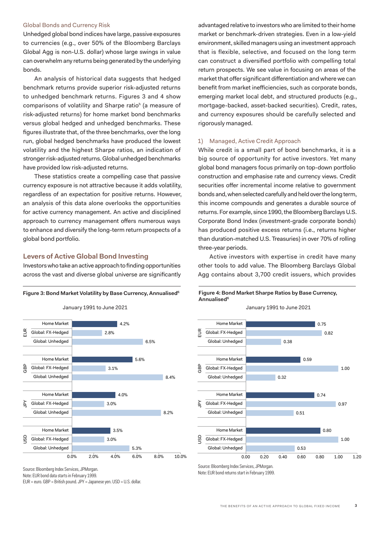# Global Bonds and Currency Risk

Unhedged global bond indices have large, passive exposures to currencies (e.g., over 50% of the Bloomberg Barclays Global Agg is non-U.S. dollar) whose large swings in value can overwhelm any returns being generated by the underlying bonds.

An analysis of historical data suggests that hedged benchmark returns provide superior risk-adjusted returns to unhedged benchmark returns. Figures 3 and 4 show comparisons of volatility and Sharpe ratio<sup>h</sup> (a measure of risk-adjusted returns) for home market bond benchmarks versus global hedged and unhedged benchmarks. These figures illustrate that, of the three benchmarks, over the long run, global hedged benchmarks have produced the lowest volatility and the highest Sharpe ratios, an indication of stronger risk-adjusted returns. Global unhedged benchmarks have provided low risk-adjusted returns.

These statistics create a compelling case that passive currency exposure is not attractive because it adds volatility, regardless of an expectation for positive returns. However, an analysis of this data alone overlooks the opportunities for active currency management. An active and disciplined approach to currency management offers numerous ways to enhance and diversify the long-term return prospects of a global bond portfolio.

# **Levers of Active Global Bond Investing**

Investors who take an active approach to finding opportunities across the vast and diverse global universe are significantly

#### **Figure 3: Bond Market Volatility by Base Currency, Annualisedfi**



**Bond Market Volatility by Base Currency, Annualized**

advantaged relative to investors who are limited to their home market or benchmark-driven strategies. Even in a low-yield environment, skilled managers using an investment approach that is flexible, selective, and focused on the long term can construct a diversified portfolio with compelling total return prospects. We see value in focusing on areas of the market that offer significant differentiation and where we can benefit from market inefficiencies, such as corporate bonds, emerging market local debt, and structured products (e.g., mortgage-backed, asset-backed securities). Credit, rates, and currency exposures should be carefully selected and rigorously managed.

## 1) Managed, Active Credit Approach

While credit is a small part of bond benchmarks, it is a big source of opportunity for active investors. Yet many global bond managers focus primarily on top-down portfolio construction and emphasise rate and currency views. Credit securities offer incremental income relative to government bonds and, when selected carefully and held over the long term, this income compounds and generates a durable source of returns. For example, since 1990, the Bloomberg Barclays U.S. Corporate Bond Index (investment-grade corporate bonds) has produced positive excess returns (i.e., returns higher than duration-matched U.S. Treasuries) in over 70% of rolling three-year periods.

Active investors with expertise in credit have many other tools to add value. The Bloomberg Barclays Global Agg contains about 3,700 credit issuers, which provides



Note: EUR bond returns start in February 1999.

Source: Bloomberg Index Services, JPMorgan.

Note: EUR bond data starts in February 1999.

EUR = euro. GBP = British pound. JPY = Japanese yen. USD = U.S. dollar.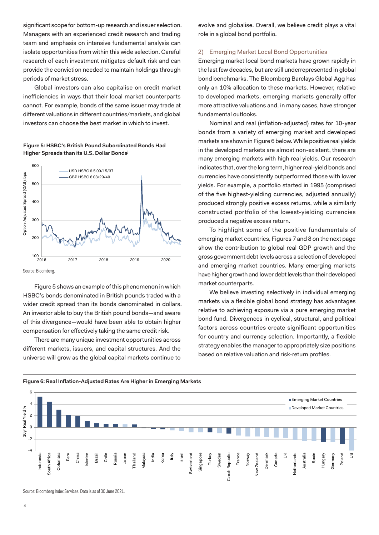significant scope for bottom-up research and issuer selection. Managers with an experienced credit research and trading team and emphasis on intensive fundamental analysis can isolate opportunities from within this wide selection. Careful research of each investment mitigates default risk and can provide the conviction needed to maintain holdings through periods of market stress.

Global investors can also capitalise on credit market inefficiencies in ways that their local market counterparts cannot. For example, bonds of the same issuer may trade at different valuations in different countries/markets, and global investors can choose the best market in which to invest.

#### **Figure 5: HSBC's British Pound Subordinated Bonds Had Higher Spreads than its U.S. Dollar Bondsj**



Source: Bloomberg.

Figure 5 shows an example of this phenomenon in which HSBC's bonds denominated in British pounds traded with a wider credit spread than its bonds denominated in dollars. An investor able to buy the British pound bonds—and aware of this divergence—would have been able to obtain higher compensation for effectively taking the same credit risk.

There are many unique investment opportunities across different markets, issuers, and capital structures. And the universe will grow as the global capital markets continue to evolve and globalise. Overall, we believe credit plays a vital role in a global bond portfolio.

# 2) Emerging Market Local Bond Opportunities

Emerging market local bond markets have grown rapidly in the last few decades, but are still underrepresented in global bond benchmarks. The Bloomberg Barclays Global Agg has only an 10% allocation to these markets. However, relative to developed markets, emerging markets generally offer more attractive valuations and, in many cases, have stronger fundamental outlooks.

Nominal and real (inflation-adjusted) rates for 10-year bonds from a variety of emerging market and developed markets are shown in Figure 6 below. While positive real yields in the developed markets are almost non-existent, there are many emerging markets with high real yields. Our research indicates that, over the long term, higher real-yield bonds and currencies have consistently outperformed those with lower yields. For example, a portfolio started in 1995 (comprised of the five highest-yielding currencies, adjusted annually) produced strongly positive excess returns, while a similarly constructed portfolio of the lowest-yielding currencies produced a negative excess return.

To highlight some of the positive fundamentals of emerging market countries, Figures 7 and 8 on the next page show the contribution to global real GDP growth and the gross government debt levels across a selection of developed and emerging market countries. Many emerging markets have higher growth and lower debt levels than their developed market counterparts.

We believe investing selectively in individual emerging markets via a flexible global bond strategy has advantages relative to achieving exposure via a pure emerging market bond fund. Divergences in cyclical, structural, and political factors across countries create significant opportunities for country and currency selection. Importantly, a flexible strategy enables the manager to appropriately size positions based on relative valuation and risk-return profiles.



**Figure 6: Real Inflation-Adjusted Rates Are Higher in Emerging Markets**

Source: Bloomberg Index Services. Data is as of 30 June 2021.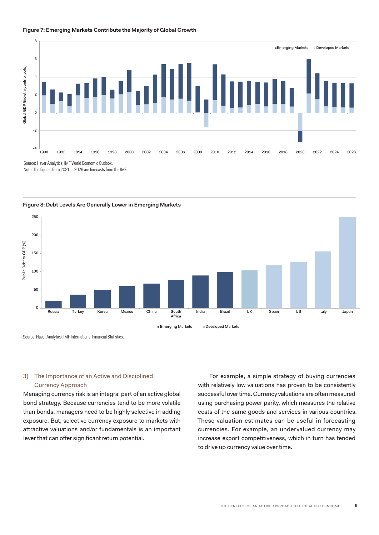#### **Figure 7: Emerging Markets Contribute the Majority of Global Growth**



Note: The figures from 2021 to 2026 are forecasts from the IMF.



**Figure 8: Debt Levels Are Generally Lower in Emerging Markets**

Source: Haver Analytics, IMF International Financial Statistics.

# 3) The Importance of an Active and Disciplined Currency Approach

Managing currency risk is an integral part of an active global bond strategy. Because currencies tend to be more volatile than bonds, managers need to be highly selective in adding exposure. But, selective currency exposure to markets with attractive valuations and/or fundamentals is an important lever that can offer significant return potential.

For example, a simple strategy of buying currencies with relatively low valuations has proven to be consistently successful over time. Currency valuations are often measured using purchasing power parity, which measures the relative costs of the same goods and services in various countries. These valuation estimates can be useful in forecasting currencies. For example, an undervalued currency may increase export competitiveness, which in turn has tended to drive up currency value over time.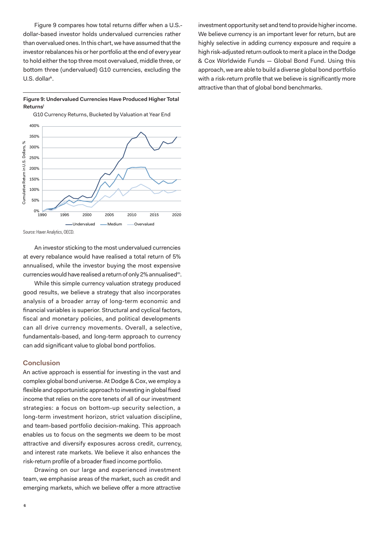Figure 9 compares how total returns differ when a U.S. dollar-based investor holds undervalued currencies rather than overvalued ones. In this chart, we have assumed that the investor rebalances his or her portfolio at the end of every year to hold either the top three most overvalued, middle three, or bottom three (undervalued) G10 currencies, excluding the U.S. dollar<sup>k</sup>.

# **Figure 9: Undervalued Currencies Have Produced Higher Total Returnsl**

G10 Currency Returns, Bucketed by Valuation at Year End



An investor sticking to the most undervalued currencies at every rebalance would have realised a total return of 5% annualised, while the investor buying the most expensive currencies would have realised a return of only 2% annualised<sup>m</sup>.

While this simple currency valuation strategy produced good results, we believe a strategy that also incorporates analysis of a broader array of long-term economic and financial variables is superior. Structural and cyclical factors, fiscal and monetary policies, and political developments can all drive currency movements. Overall, a selective, fundamentals-based, and long-term approach to currency can add significant value to global bond portfolios.

# **Conclusion**

An active approach is essential for investing in the vast and complex global bond universe. At Dodge & Cox, we employ a flexible and opportunistic approach to investing in global fixed income that relies on the core tenets of all of our investment strategies: a focus on bottom-up security selection, a long-term investment horizon, strict valuation discipline, and team-based portfolio decision-making. This approach enables us to focus on the segments we deem to be most attractive and diversify exposures across credit, currency, and interest rate markets. We believe it also enhances the risk-return profile of a broader fixed income portfolio.

Drawing on our large and experienced investment team, we emphasise areas of the market, such as credit and emerging markets, which we believe offer a more attractive

investment opportunity set and tend to provide higher income. We believe currency is an important lever for return, but are highly selective in adding currency exposure and require a high risk-adjusted return outlook to merit a place in the Dodge & Cox Worldwide Funds — Global Bond Fund. Using this approach, we are able to build a diverse global bond portfolio with a risk-return profile that we believe is significantly more attractive than that of global bond benchmarks.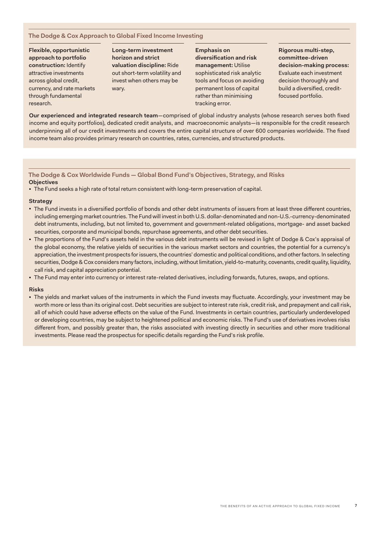# **The Dodge & Cox Approach to Global Fixed Income Investing**

**Flexible, opportunistic approach to portfolio construction:** Identify attractive investments across global credit, currency, and rate markets through fundamental research.

**Long-term investment horizon and strict valuation discipline:** Ride out short-term volatility and invest when others may be wary.

**Emphasis on diversification and risk management:** Utilise sophisticated risk analytic tools and focus on avoiding permanent loss of capital rather than minimising tracking error.

**Rigorous multi-step, committee-driven decision-making process:**  Evaluate each investment decision thoroughly and build a diversified, creditfocused portfolio.

**Our experienced and integrated research team**—comprised of global industry analysts (whose research serves both fixed income and equity portfolios), dedicated credit analysts, and macroeconomic analysts—is responsible for the credit research underpinning all of our credit investments and covers the entire capital structure of over 600 companies worldwide. The fixed income team also provides primary research on countries, rates, currencies, and structured products.

**The Dodge & Cox Worldwide Funds — Global Bond Fund's Objectives, Strategy, and Risks Objectives**

. The Fund seeks a high rate of total return consistent with long-term preservation of capital.

#### **Strategy**

- <sup>◼</sup> The Fund invests in a diversified portfolio of bonds and other debt instruments of issuers from at least three different countries, including emerging market countries. The Fund will invest in both U.S. dollar-denominated and non-U.S.-currency-denominated debt instruments, including, but not limited to, government and government-related obligations, mortgage- and asset backed securities, corporate and municipal bonds, repurchase agreements, and other debt securities.
- The proportions of the Fund's assets held in the various debt instruments will be revised in light of Dodge & Cox's appraisal of the global economy, the relative yields of securities in the various market sectors and countries, the potential for a currency's appreciation, the investment prospects for issuers, the countries' domestic and political conditions, and other factors. In selecting securities, Dodge & Cox considers many factors, including, without limitation, yield-to-maturity, covenants, credit quality, liquidity, call risk, and capital appreciation potential.
- The Fund may enter into currency or interest rate-related derivatives, including forwards, futures, swaps, and options.

## **Risks**

<sup>◼</sup> The yields and market values of the instruments in which the Fund invests may fluctuate. Accordingly, your investment may be worth more or less than its original cost. Debt securities are subject to interest rate risk, credit risk, and prepayment and call risk, all of which could have adverse effects on the value of the Fund. Investments in certain countries, particularly underdeveloped or developing countries, may be subject to heightened political and economic risks. The Fund's use of derivatives involves risks different from, and possibly greater than, the risks associated with investing directly in securities and other more traditional investments. Please read the prospectus for specific details regarding the Fund's risk profile.